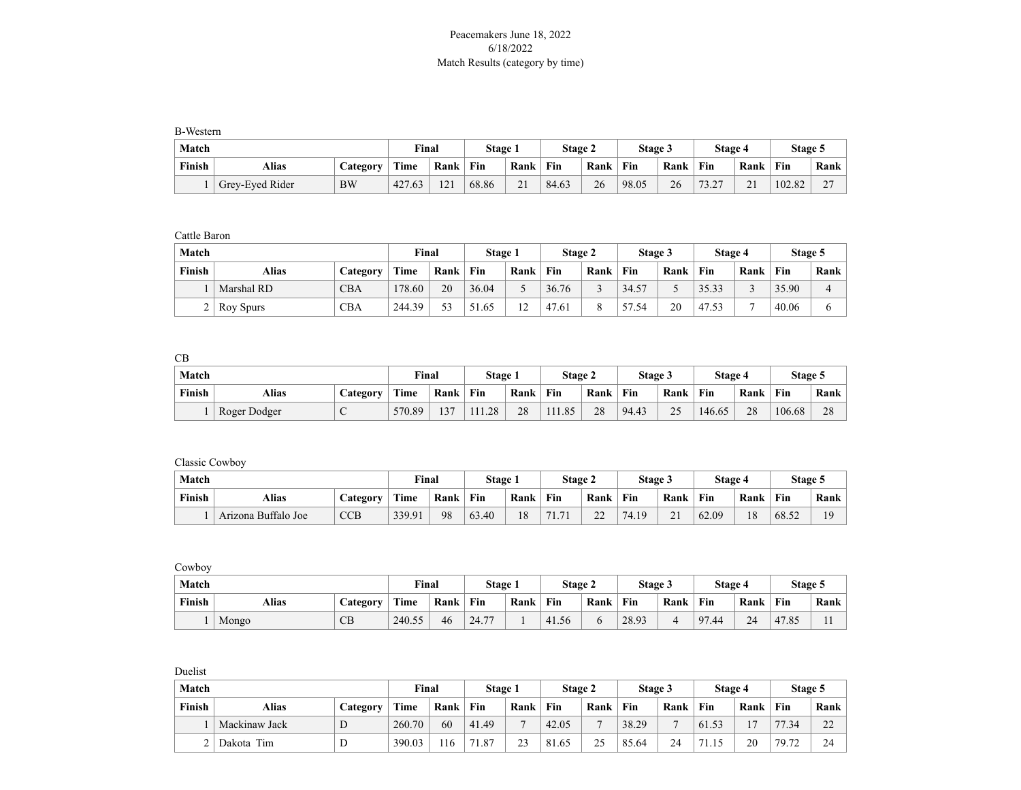## Peacemakers June 18, 2022 6/18/2022 Match Results (category by time)

B-Western

| Match  |                 |                 | Final  |      | Stage i |                      | Stage 2 |      | Stage 3 |      | <b>Stage 4</b> |      | Stage 5 |                    |
|--------|-----------------|-----------------|--------|------|---------|----------------------|---------|------|---------|------|----------------|------|---------|--------------------|
| Finish | Alias           | <b>Category</b> | Time   | Rank | Fin     | Rank                 | Fin     | Rank | Fin     | Rank | Fin            | Rank | Fin     | <b>Rank</b>        |
|        | Grey-Eyed Rider | <b>BW</b>       | 427.63 | 121  | 68.86   | $\sim$ 1<br>$\sim$ 1 | 84.63   | 26   | 98.05   | 26   | 73.27<br>ے ۔   | 21   | 102.82  | $\sim$<br><u>.</u> |

Cattle Baron

| Match  |                  |            | Final  |      | Stage 1 |        | Stage 2 |      | Stage 3   |      | Stage 4 |      | Stage 5 |      |
|--------|------------------|------------|--------|------|---------|--------|---------|------|-----------|------|---------|------|---------|------|
| Finish | Alias            | Category   | Time   | Rank | Fin     | Rank   | Fin     | Rank | Fin       | Rank | Fin     | Rank | Fin     | Rank |
|        | Marshal RD       | <b>CBA</b> | 178.60 | 20   | 36.04   |        | 36.76   |      | 34.57     |      | 35.33   |      | 35.90   |      |
|        | <b>Roy Spurs</b> | CBA        | 244.39 | 53   | 51.65   | $\sim$ | 47.61   |      | 57<br>.54 | 20   | 47.53   |      | 40.06   |      |

CB

| Match  |              |                 | <b>Final</b> |      | Stage 1 |      | <b>Stage 2</b> |      | <b>Stage 3</b> |      | Stage 4 |      | Stage 5 |      |
|--------|--------------|-----------------|--------------|------|---------|------|----------------|------|----------------|------|---------|------|---------|------|
| Finish | Alias        | <b>Lategory</b> | Time         | Rank | Fin     | Rank | Fin            | Rank | Fin            | Rank | Fin     | Rank | Fin     | Rank |
|        | Roger Dodger | ◡               | 570.89       | 137  | 111.28  | 28   | 111.85         | 28   | 94.43          | 25   | 146.65  | 28   | 106.68  | 28   |

Classic Cowboy

| Match  |                     |                 | <b>Final</b> |      | Stage |      | Stage 2             |                     | Stage 3 |                    | <b>Stage 4</b> |      | Stage 5 |             |
|--------|---------------------|-----------------|--------------|------|-------|------|---------------------|---------------------|---------|--------------------|----------------|------|---------|-------------|
| Finish | <b>Alias</b>        | <b>Category</b> | Time         | Rank | Fin   | Rank | Fin                 | Rank                | Fin     | Rank               | Fin            | Rank | Fin     | <b>Rank</b> |
|        | Arizona Buffalo Joe | CCB             | 339.91       | 98   | 63.40 | 18   | 71<br>71<br>$\pm$ . | $\mathcal{L}$<br>∠∠ | 74.19   | $\sim$<br>$\sim$ 1 | 62.09          | 18   | 68.52   | 10          |

Cowboy

| Match  |       |                 | Final  |      | Stage 1 |      | Stage 2 |      | Stage 3 |      | Stage 4 |      | Stage 5 |      |
|--------|-------|-----------------|--------|------|---------|------|---------|------|---------|------|---------|------|---------|------|
| Finish | Alias | <b>Category</b> | Time   | Rank | Fin     | Rank | Fin     | Rank | Fin     | Rank | Fin     | Rank | Fin     | Rank |
|        | Mongo | CВ              | 240.55 | 46   | 24.77   |      | 41.56   |      | 28.93   |      | 97.44   | 24   | 47.85   | . .  |

Duelist

| Match  |               |          | Final  |      | Stage 1 |      | Stage 2 |      | Stage 3 |      | Stage 4 |                | Stage 5 |                     |
|--------|---------------|----------|--------|------|---------|------|---------|------|---------|------|---------|----------------|---------|---------------------|
| Finish | <b>Alias</b>  | Category | Time   | Rank | Fin     | Rank | Fin     | Rank | Fin     | Rank | Fin     | Rank           | Fin     | Rank                |
|        | Mackinaw Jack | D        | 260.70 | 60   | 41.49   |      | 42.05   |      | 38.29   |      | 61.53   | 1 <sub>7</sub> | 77.34   | $\mathcal{D}$<br>∠∠ |
|        | Dakota Tim    | D        | 390.03 | 116  | 71.87   | 23   | 81.65   | 25   | 85.64   | 24   | 71.15   | 20             | 79.72   | 24                  |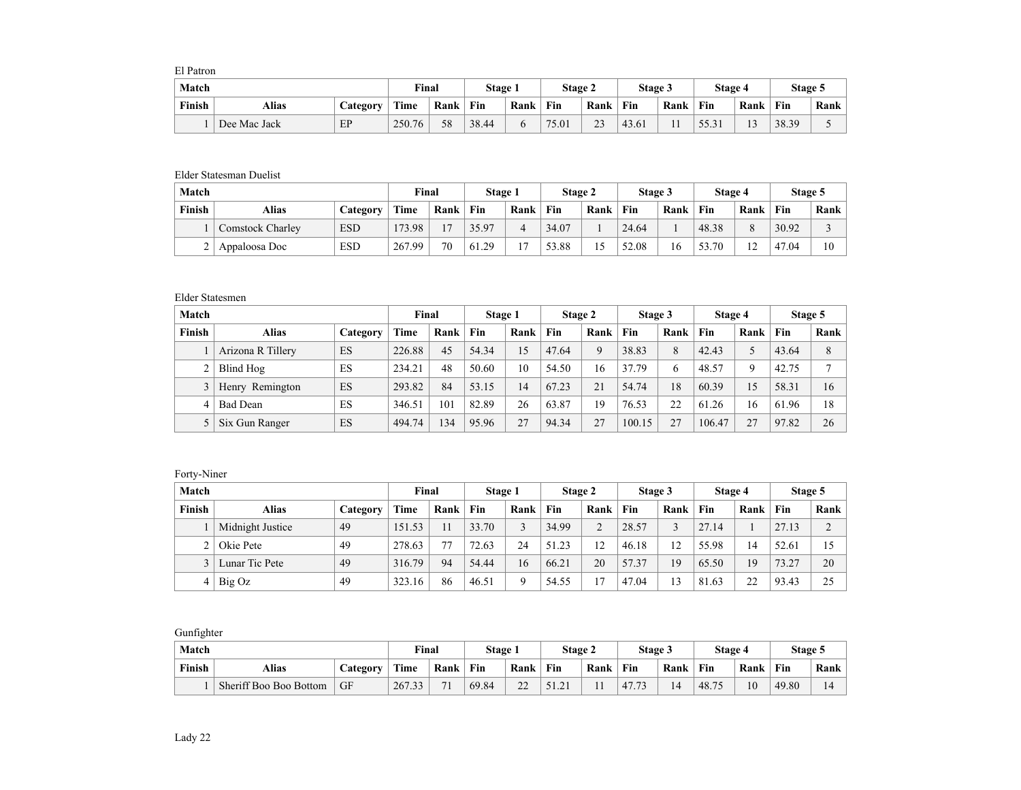El Patron

| Match  |              |                 | Final  |      | Stage 1 |      | Stage 2 |      | Stage 3 |      | <b>Stage 4</b> |                      | <b>Stage 5</b> |             |
|--------|--------------|-----------------|--------|------|---------|------|---------|------|---------|------|----------------|----------------------|----------------|-------------|
| Finish | Alias        | <b>Category</b> | Time   | Rank | Fin     | Rank | Fin     | Rank | Fin     | Rank | Fin            | Rank                 | Fin            | <b>Rank</b> |
|        | Dee Mac Jack | EP              | 250.76 | 58   | 38.44   |      | 75.01   | 23   | 43.61   |      | 55.31          | 1 <sub>2</sub><br>⊥⊃ | 38.39          | .           |

## Elder Statesman Duelist

| <b>Match</b> |                         |            | Final       |      | Stage 1 |      | Stage 2 |      | Stage 3 |      | Stage 4 |          | Stage 5 |      |
|--------------|-------------------------|------------|-------------|------|---------|------|---------|------|---------|------|---------|----------|---------|------|
| Finish       | <b>Alias</b>            | Category   | <b>Time</b> | Rank | Fin     | Rank | Fin     | Rank | Fin     | Rank | Fin     | Rank     | Fin     | Rank |
|              | <b>Comstock Charley</b> | <b>ESD</b> | 173.98      | 17   | 35.97   |      | 34.07   |      | 24.64   |      | 48.38   | $\Omega$ | 30.92   |      |
|              | Appaloosa Doc           | <b>ESD</b> | 267.99      | 70   | 61.29   |      | 53.88   |      | 52.08   | 16   | 53.70   | 12<br>∸  | 47.04   | 10   |

## Elder Statesmen

| Match  |                   |          | Final  |      | Stage 1 |      | Stage 2 |      | Stage 3 |      | Stage 4 |             | Stage 5 |      |
|--------|-------------------|----------|--------|------|---------|------|---------|------|---------|------|---------|-------------|---------|------|
| Finish | <b>Alias</b>      | Category | Time   | Rank | Fin     | Rank | Fin     | Rank | Fin     | Rank | Fin     | Rank        | Fin     | Rank |
|        | Arizona R Tillery | ES       | 226.88 | 45   | 54.34   | 15   | 47.64   | 9    | 38.83   | 8    | 42.43   | 5           | 43.64   | 8    |
|        | Blind Hog         | ES       | 234.21 | 48   | 50.60   | 10   | 54.50   | 16   | 37.79   | 6    | 48.57   | $\mathbf Q$ | 42.75   | Ξ    |
|        | Henry Remington   | ES       | 293.82 | 84   | 53.15   | 14   | 67.23   | 21   | 54.74   | 18   | 60.39   | 15          | 58.31   | 16   |
| 4      | <b>Bad Dean</b>   | ES       | 346.51 | 101  | 82.89   | 26   | 63.87   | 19   | 76.53   | 22   | 61.26   | 16          | 61.96   | 18   |
|        | Six Gun Ranger    | ES       | 494.74 | 34   | 95.96   | 27   | 94.34   | 27   | 100.15  | 27   | 106.47  | 27          | 97.82   | 26   |

## Forty-Niner

| Match  |                  |          | Final  |      | Stage 1 |      | Stage 2 |          | Stage 3 |              | Stage 4 |      | Stage 5 |      |
|--------|------------------|----------|--------|------|---------|------|---------|----------|---------|--------------|---------|------|---------|------|
| Finish | <b>Alias</b>     | Category | Time   | Rank | Fin     | Rank | Fin     | Rank     | Fin     | Rank         | Fin     | Rank | Fin     | Rank |
|        | Midnight Justice | 49       | 151.53 | 11   | 33.70   |      | 34.99   | $\Omega$ | 28.57   |              | 27.14   |      | 27.13   | ◠    |
|        | Okie Pete        | 49       | 278.63 | 77   | 72.63   | 24   | 51.23   | 12       | 46.18   | 12           | 55.98   | 14   | 52.61   | 15   |
|        | Lunar Tic Pete   | -49      | 316.79 | 94   | 54.44   | 16   | 66.21   | 20       | 57.37   | 19           | 65.50   | 19   | 73.27   | 20   |
|        | Big Oz           | 49       | 323.16 | 86   | 46.51   |      | 54.55   |          | 47.04   | $\mathbf{a}$ | 81.63   | 22   | 93.43   | 25   |

Gunfighter

| Match         |                        |          | Final  |      | Stage 1 |                   | Stage 2                |      | Stage 3 |      | Stage 4 |      | Stage 5 |             |
|---------------|------------------------|----------|--------|------|---------|-------------------|------------------------|------|---------|------|---------|------|---------|-------------|
| <b>Finish</b> | Alias                  | Category | Time   | Rank | Fin     | Rank              | Fin                    | Rank | Fin     | Rank | Fin     | Rank | Fin     | <b>Rank</b> |
|               | Sheriff Boo Boo Bottom | GF       | 267.33 | 71   | 69.84   | $\mathbf{a}$<br>∸ | $\bigcap$ 1<br>ا کہ ای |      | 47.7    | 14   | 48.75   | 10   | 49.80   | 14          |